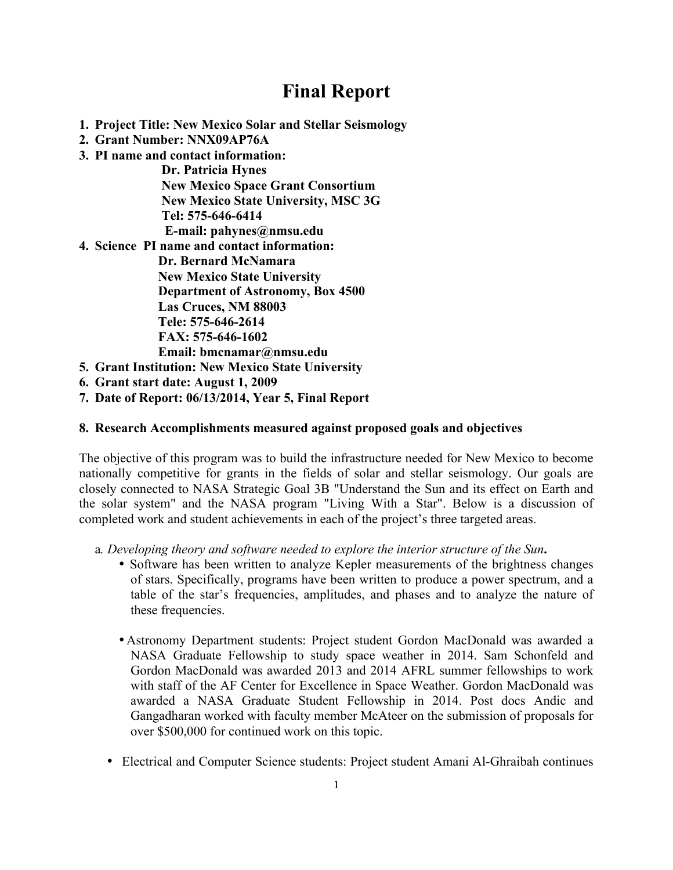# **Final Report**

- **1. Project Title: New Mexico Solar and Stellar Seismology**
- **2. Grant Number: NNX09AP76A**
- **3. PI name and contact information:**

 **Dr. Patricia Hynes New Mexico Space Grant Consortium New Mexico State University, MSC 3G Tel: 575-646-6414 E-mail: pahynes@nmsu.edu** 

**4. Science PI name and contact information:** 

**Dr. Bernard McNamara New Mexico State University Department of Astronomy, Box 4500 Las Cruces, NM 88003 Tele: 575-646-2614 FAX: 575-646-1602 Email: bmcnamar@nmsu.edu** 

- **5. Grant Institution: New Mexico State University**
- **6. Grant start date: August 1, 2009**
- **7. Date of Report: 06/13/2014, Year 5, Final Report**

## **8. Research Accomplishments measured against proposed goals and objectives**

The objective of this program was to build the infrastructure needed for New Mexico to become nationally competitive for grants in the fields of solar and stellar seismology. Our goals are closely connected to NASA Strategic Goal 3B "Understand the Sun and its effect on Earth and the solar system" and the NASA program "Living With a Star". Below is a discussion of completed work and student achievements in each of the project's three targeted areas.

a*. Developing theory and software needed to explore the interior structure of the Sun***.** 

- Software has been written to analyze Kepler measurements of the brightness changes of stars. Specifically, programs have been written to produce a power spectrum, and a table of the star's frequencies, amplitudes, and phases and to analyze the nature of these frequencies.
- •Astronomy Department students: Project student Gordon MacDonald was awarded a NASA Graduate Fellowship to study space weather in 2014. Sam Schonfeld and Gordon MacDonald was awarded 2013 and 2014 AFRL summer fellowships to work with staff of the AF Center for Excellence in Space Weather. Gordon MacDonald was awarded a NASA Graduate Student Fellowship in 2014. Post docs Andic and Gangadharan worked with faculty member McAteer on the submission of proposals for over \$500,000 for continued work on this topic.
- Electrical and Computer Science students: Project student Amani Al-Ghraibah continues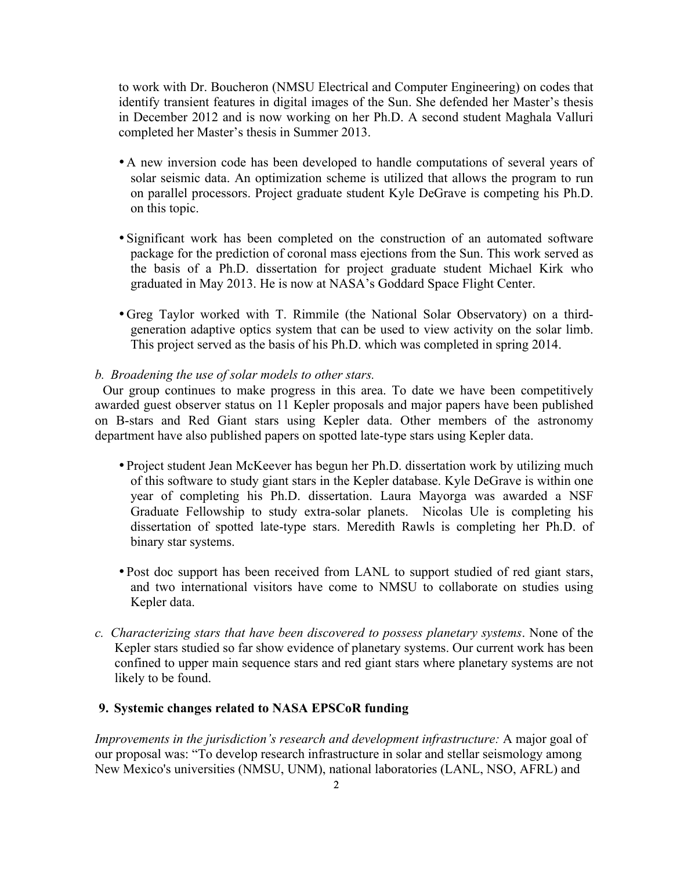to work with Dr. Boucheron (NMSU Electrical and Computer Engineering) on codes that identify transient features in digital images of the Sun. She defended her Master's thesis in December 2012 and is now working on her Ph.D. A second student Maghala Valluri completed her Master's thesis in Summer 2013.

- •A new inversion code has been developed to handle computations of several years of solar seismic data. An optimization scheme is utilized that allows the program to run on parallel processors. Project graduate student Kyle DeGrave is competing his Ph.D. on this topic.
- Significant work has been completed on the construction of an automated software package for the prediction of coronal mass ejections from the Sun. This work served as the basis of a Ph.D. dissertation for project graduate student Michael Kirk who graduated in May 2013. He is now at NASA's Goddard Space Flight Center.
- •Greg Taylor worked with T. Rimmile (the National Solar Observatory) on a thirdgeneration adaptive optics system that can be used to view activity on the solar limb. This project served as the basis of his Ph.D. which was completed in spring 2014.

#### *b. Broadening the use of solar models to other stars.*

Our group continues to make progress in this area. To date we have been competitively awarded guest observer status on 11 Kepler proposals and major papers have been published on B-stars and Red Giant stars using Kepler data. Other members of the astronomy department have also published papers on spotted late-type stars using Kepler data.

- Project student Jean McKeever has begun her Ph.D. dissertation work by utilizing much of this software to study giant stars in the Kepler database. Kyle DeGrave is within one year of completing his Ph.D. dissertation. Laura Mayorga was awarded a NSF Graduate Fellowship to study extra-solar planets. Nicolas Ule is completing his dissertation of spotted late-type stars. Meredith Rawls is completing her Ph.D. of binary star systems.
- Post doc support has been received from LANL to support studied of red giant stars, and two international visitors have come to NMSU to collaborate on studies using Kepler data.
- *c. Characterizing stars that have been discovered to possess planetary systems*. None of the Kepler stars studied so far show evidence of planetary systems. Our current work has been confined to upper main sequence stars and red giant stars where planetary systems are not likely to be found.

#### **9. Systemic changes related to NASA EPSCoR funding**

*Improvements in the jurisdiction's research and development infrastructure:* A major goal of our proposal was: "To develop research infrastructure in solar and stellar seismology among New Mexico's universities (NMSU, UNM), national laboratories (LANL, NSO, AFRL) and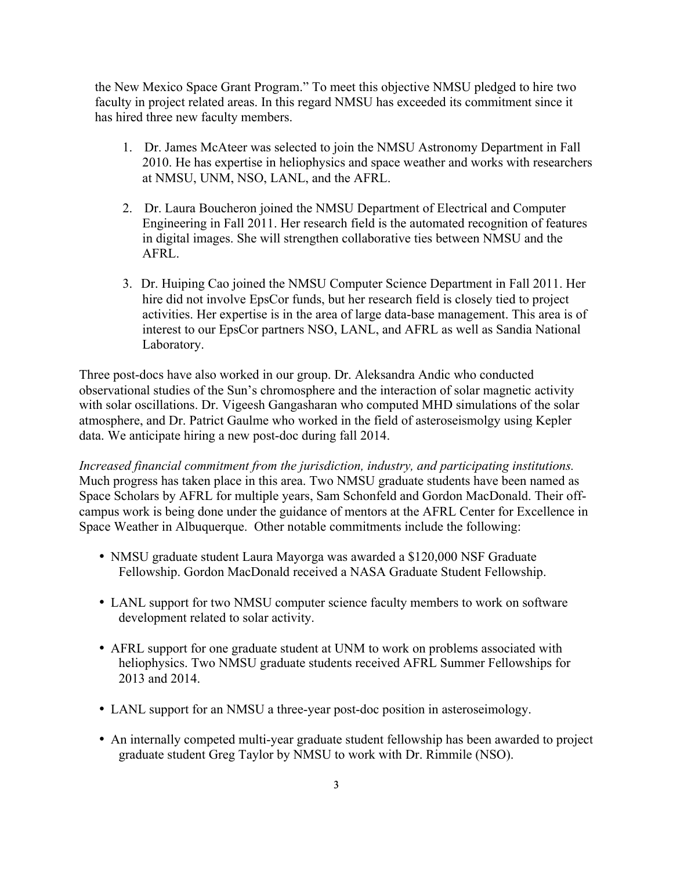the New Mexico Space Grant Program." To meet this objective NMSU pledged to hire two faculty in project related areas. In this regard NMSU has exceeded its commitment since it has hired three new faculty members.

- 1. Dr. James McAteer was selected to join the NMSU Astronomy Department in Fall 2010. He has expertise in heliophysics and space weather and works with researchers at NMSU, UNM, NSO, LANL, and the AFRL.
- 2. Dr. Laura Boucheron joined the NMSU Department of Electrical and Computer Engineering in Fall 2011. Her research field is the automated recognition of features in digital images. She will strengthen collaborative ties between NMSU and the AFRL.
- 3. Dr. Huiping Cao joined the NMSU Computer Science Department in Fall 2011. Her hire did not involve EpsCor funds, but her research field is closely tied to project activities. Her expertise is in the area of large data-base management. This area is of interest to our EpsCor partners NSO, LANL, and AFRL as well as Sandia National Laboratory.

Three post-docs have also worked in our group. Dr. Aleksandra Andic who conducted observational studies of the Sun's chromosphere and the interaction of solar magnetic activity with solar oscillations. Dr. Vigeesh Gangasharan who computed MHD simulations of the solar atmosphere, and Dr. Patrict Gaulme who worked in the field of asteroseismolgy using Kepler data. We anticipate hiring a new post-doc during fall 2014.

*Increased financial commitment from the jurisdiction, industry, and participating institutions.* Much progress has taken place in this area. Two NMSU graduate students have been named as Space Scholars by AFRL for multiple years, Sam Schonfeld and Gordon MacDonald. Their offcampus work is being done under the guidance of mentors at the AFRL Center for Excellence in Space Weather in Albuquerque. Other notable commitments include the following:

- NMSU graduate student Laura Mayorga was awarded a \$120,000 NSF Graduate Fellowship. Gordon MacDonald received a NASA Graduate Student Fellowship.
- LANL support for two NMSU computer science faculty members to work on software development related to solar activity.
- AFRL support for one graduate student at UNM to work on problems associated with heliophysics. Two NMSU graduate students received AFRL Summer Fellowships for 2013 and 2014.
- LANL support for an NMSU a three-year post-doc position in asteroseimology.
- An internally competed multi-year graduate student fellowship has been awarded to project graduate student Greg Taylor by NMSU to work with Dr. Rimmile (NSO).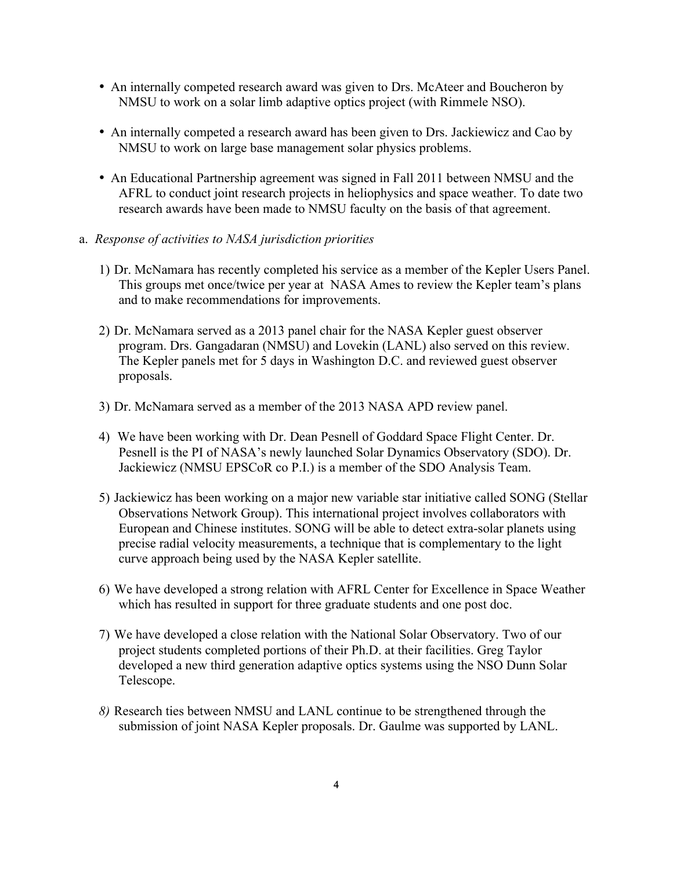- An internally competed research award was given to Drs. McAteer and Boucheron by NMSU to work on a solar limb adaptive optics project (with Rimmele NSO).
- An internally competed a research award has been given to Drs. Jackiewicz and Cao by NMSU to work on large base management solar physics problems.
- An Educational Partnership agreement was signed in Fall 2011 between NMSU and the AFRL to conduct joint research projects in heliophysics and space weather. To date two research awards have been made to NMSU faculty on the basis of that agreement.
- a. *Response of activities to NASA jurisdiction priorities*
	- 1) Dr. McNamara has recently completed his service as a member of the Kepler Users Panel. This groups met once/twice per year at NASA Ames to review the Kepler team's plans and to make recommendations for improvements.
	- 2) Dr. McNamara served as a 2013 panel chair for the NASA Kepler guest observer program. Drs. Gangadaran (NMSU) and Lovekin (LANL) also served on this review. The Kepler panels met for 5 days in Washington D.C. and reviewed guest observer proposals.
	- 3) Dr. McNamara served as a member of the 2013 NASA APD review panel.
	- 4) We have been working with Dr. Dean Pesnell of Goddard Space Flight Center. Dr. Pesnell is the PI of NASA's newly launched Solar Dynamics Observatory (SDO). Dr. Jackiewicz (NMSU EPSCoR co P.I.) is a member of the SDO Analysis Team.
	- 5) Jackiewicz has been working on a major new variable star initiative called SONG (Stellar Observations Network Group). This international project involves collaborators with European and Chinese institutes. SONG will be able to detect extra-solar planets using precise radial velocity measurements, a technique that is complementary to the light curve approach being used by the NASA Kepler satellite.
	- 6) We have developed a strong relation with AFRL Center for Excellence in Space Weather which has resulted in support for three graduate students and one post doc.
	- 7) We have developed a close relation with the National Solar Observatory. Two of our project students completed portions of their Ph.D. at their facilities. Greg Taylor developed a new third generation adaptive optics systems using the NSO Dunn Solar Telescope.
	- *8)* Research ties between NMSU and LANL continue to be strengthened through the submission of joint NASA Kepler proposals. Dr. Gaulme was supported by LANL.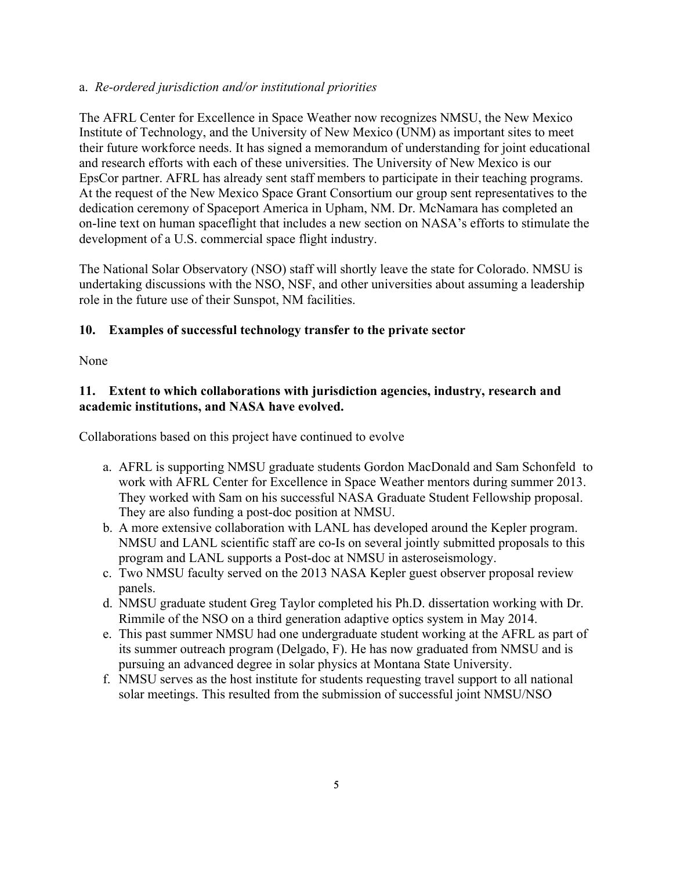## a. *Re-ordered jurisdiction and/or institutional priorities*

The AFRL Center for Excellence in Space Weather now recognizes NMSU, the New Mexico Institute of Technology, and the University of New Mexico (UNM) as important sites to meet their future workforce needs. It has signed a memorandum of understanding for joint educational and research efforts with each of these universities. The University of New Mexico is our EpsCor partner. AFRL has already sent staff members to participate in their teaching programs. At the request of the New Mexico Space Grant Consortium our group sent representatives to the dedication ceremony of Spaceport America in Upham, NM. Dr. McNamara has completed an on-line text on human spaceflight that includes a new section on NASA's efforts to stimulate the development of a U.S. commercial space flight industry.

The National Solar Observatory (NSO) staff will shortly leave the state for Colorado. NMSU is undertaking discussions with the NSO, NSF, and other universities about assuming a leadership role in the future use of their Sunspot, NM facilities.

## **10. Examples of successful technology transfer to the private sector**

None

## **11. Extent to which collaborations with jurisdiction agencies, industry, research and academic institutions, and NASA have evolved.**

Collaborations based on this project have continued to evolve

- a. AFRL is supporting NMSU graduate students Gordon MacDonald and Sam Schonfeld to work with AFRL Center for Excellence in Space Weather mentors during summer 2013. They worked with Sam on his successful NASA Graduate Student Fellowship proposal. They are also funding a post-doc position at NMSU.
- b. A more extensive collaboration with LANL has developed around the Kepler program. NMSU and LANL scientific staff are co-Is on several jointly submitted proposals to this program and LANL supports a Post-doc at NMSU in asteroseismology.
- c. Two NMSU faculty served on the 2013 NASA Kepler guest observer proposal review panels.
- d. NMSU graduate student Greg Taylor completed his Ph.D. dissertation working with Dr. Rimmile of the NSO on a third generation adaptive optics system in May 2014.
- e. This past summer NMSU had one undergraduate student working at the AFRL as part of its summer outreach program (Delgado, F). He has now graduated from NMSU and is pursuing an advanced degree in solar physics at Montana State University.
- f. NMSU serves as the host institute for students requesting travel support to all national solar meetings. This resulted from the submission of successful joint NMSU/NSO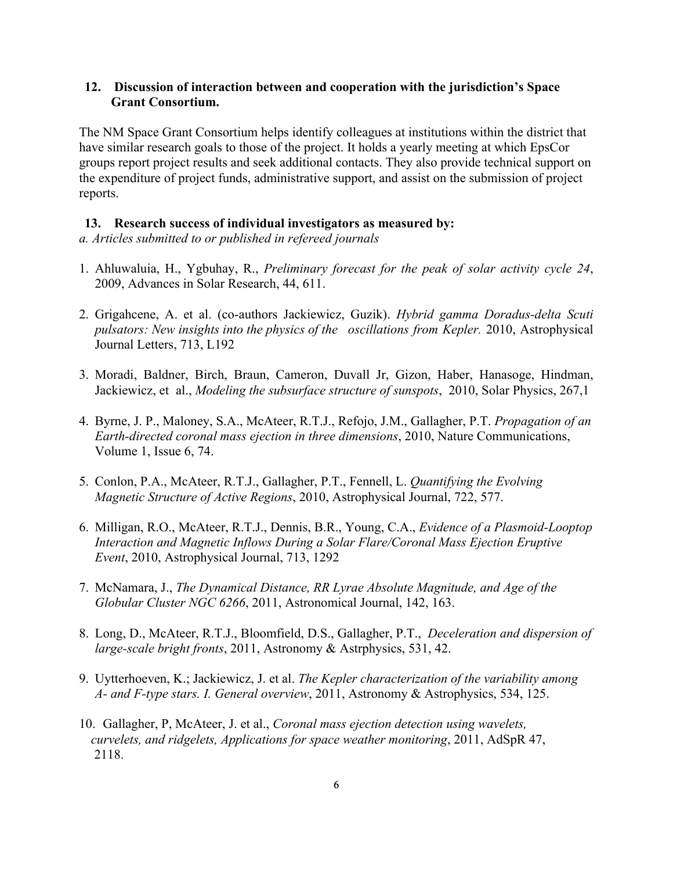### **12. Discussion of interaction between and cooperation with the jurisdiction's Space Grant Consortium.**

The NM Space Grant Consortium helps identify colleagues at institutions within the district that have similar research goals to those of the project. It holds a yearly meeting at which EpsCor groups report project results and seek additional contacts. They also provide technical support on the expenditure of project funds, administrative support, and assist on the submission of project reports.

#### **13. Research success of individual investigators as measured by:**

*a. Articles submitted to or published in refereed journals*

- 1. Ahluwaluia, H., Ygbuhay, R., *Preliminary forecast for the peak of solar activity cycle 24*, 2009, Advances in Solar Research, 44, 611.
- 2. Grigahcene, A. et al. (co-authors Jackiewicz, Guzik). *Hybrid gamma Doradus-delta Scuti pulsators: New insights into the physics of the oscillations from Kepler.* 2010, Astrophysical Journal Letters, 713, L192
- 3. Moradi, Baldner, Birch, Braun, Cameron, Duvall Jr, Gizon, Haber, Hanasoge, Hindman, Jackiewicz, et al., *Modeling the subsurface structure of sunspots*, 2010, Solar Physics, 267,1
- 4. Byrne, J. P., Maloney, S.A., McAteer, R.T.J., Refojo, J.M., Gallagher, P.T. *Propagation of an Earth-directed coronal mass ejection in three dimensions*, 2010, Nature Communications, Volume 1, Issue 6, 74.
- 5. Conlon, P.A., McAteer, R.T.J., Gallagher, P.T., Fennell, L. *Quantifying the Evolving Magnetic Structure of Active Regions*, 2010, Astrophysical Journal, 722, 577.
- 6. Milligan, R.O., McAteer, R.T.J., Dennis, B.R., Young, C.A., *Evidence of a Plasmoid-Looptop Interaction and Magnetic Inflows During a Solar Flare/Coronal Mass Ejection Eruptive Event*, 2010, Astrophysical Journal, 713, 1292
- 7. McNamara, J., *The Dynamical Distance, RR Lyrae Absolute Magnitude, and Age of the Globular Cluster NGC 6266*, 2011, Astronomical Journal, 142, 163.
- 8. Long, D., McAteer, R.T.J., Bloomfield, D.S., Gallagher, P.T., *Deceleration and dispersion of large-scale bright fronts*, 2011, Astronomy & Astrphysics, 531, 42.
- 9. Uytterhoeven, K.; Jackiewicz, J. et al. *The Kepler characterization of the variability among A- and F-type stars. I. General overview*, 2011, Astronomy & Astrophysics, 534, 125.
- 10. Gallagher, P, McAteer, J. et al., *Coronal mass ejection detection using wavelets, curvelets, and ridgelets, Applications for space weather monitoring*, 2011, AdSpR 47, 2118.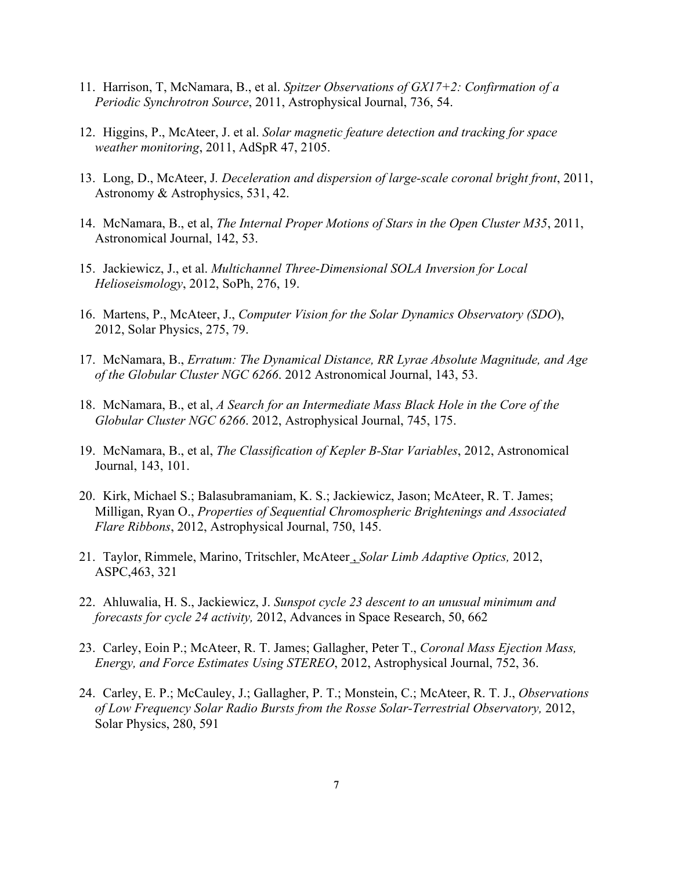- 11. Harrison, T, McNamara, B., et al. *Spitzer Observations of GX17+2: Confirmation of a Periodic Synchrotron Source*, 2011, Astrophysical Journal, 736, 54.
- 12. Higgins, P., McAteer, J. et al. *Solar magnetic feature detection and tracking for space weather monitoring*, 2011, AdSpR 47, 2105.
- 13. Long, D., McAteer, J*. Deceleration and dispersion of large-scale coronal bright front*, 2011, Astronomy & Astrophysics, 531, 42.
- 14. McNamara, B., et al, *The Internal Proper Motions of Stars in the Open Cluster M35*, 2011, Astronomical Journal, 142, 53.
- 15. Jackiewicz, J., et al. *Multichannel Three-Dimensional SOLA Inversion for Local Helioseismology*, 2012, SoPh, 276, 19.
- 16. Martens, P., McAteer, J., *Computer Vision for the Solar Dynamics Observatory (SDO*), 2012, Solar Physics, 275, 79.
- 17. McNamara, B., *Erratum: The Dynamical Distance, RR Lyrae Absolute Magnitude, and Age of the Globular Cluster NGC 6266*. 2012 Astronomical Journal, 143, 53.
- 18. McNamara, B., et al, *A Search for an Intermediate Mass Black Hole in the Core of the Globular Cluster NGC 6266*. 2012, Astrophysical Journal, 745, 175.
- 19. McNamara, B., et al, *The Classification of Kepler B-Star Variables*, 2012, Astronomical Journal, 143, 101.
- 20. Kirk, Michael S.; Balasubramaniam, K. S.; Jackiewicz, Jason; McAteer, R. T. James; Milligan, Ryan O., *Properties of Sequential Chromospheric Brightenings and Associated Flare Ribbons*, 2012, Astrophysical Journal, 750, 145.
- 21. Taylor, Rimmele, Marino, Tritschler, McAteer , *Solar Limb Adaptive Optics,* 2012, ASPC,463, 321
- 22. Ahluwalia, H. S., Jackiewicz, J. *Sunspot cycle 23 descent to an unusual minimum and forecasts for cycle 24 activity,* 2012, Advances in Space Research, 50, 662
- 23. Carley, Eoin P.; McAteer, R. T. James; Gallagher, Peter T., *Coronal Mass Ejection Mass, Energy, and Force Estimates Using STEREO*, 2012, Astrophysical Journal, 752, 36.
- 24. Carley, E. P.; McCauley, J.; Gallagher, P. T.; Monstein, C.; McAteer, R. T. J., *Observations of Low Frequency Solar Radio Bursts from the Rosse Solar-Terrestrial Observatory,* 2012, Solar Physics, 280, 591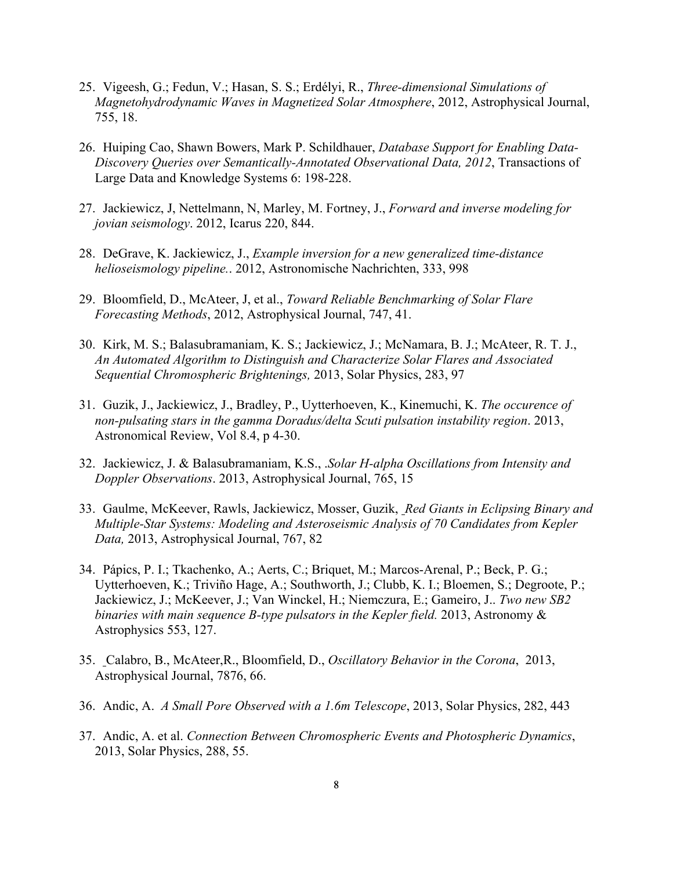- 25. Vigeesh, G.; Fedun, V.; Hasan, S. S.; Erdélyi, R., *Three-dimensional Simulations of Magnetohydrodynamic Waves in Magnetized Solar Atmosphere*, 2012, Astrophysical Journal, 755, 18.
- 26. Huiping Cao, Shawn Bowers, Mark P. Schildhauer, *Database Support for Enabling Data-Discovery Queries over Semantically-Annotated Observational Data, 2012*, Transactions of Large Data and Knowledge Systems 6: 198-228.
- 27. Jackiewicz, J, Nettelmann, N, Marley, M. Fortney, J., *Forward and inverse modeling for jovian seismology*. 2012, Icarus 220, 844.
- 28. DeGrave, K. Jackiewicz, J., *Example inversion for a new generalized time-distance helioseismology pipeline.*. 2012, Astronomische Nachrichten, 333, 998
- 29. Bloomfield, D., McAteer, J, et al., *Toward Reliable Benchmarking of Solar Flare Forecasting Methods*, 2012, Astrophysical Journal, 747, 41.
- 30. Kirk, M. S.; Balasubramaniam, K. S.; Jackiewicz, J.; McNamara, B. J.; McAteer, R. T. J., *An Automated Algorithm to Distinguish and Characterize Solar Flares and Associated Sequential Chromospheric Brightenings,* 2013, Solar Physics, 283, 97
- 31. Guzik, J., Jackiewicz, J., Bradley, P., Uytterhoeven, K., Kinemuchi, K. *The occurence of non-pulsating stars in the gamma Doradus/delta Scuti pulsation instability region*. 2013, Astronomical Review, Vol 8.4, p 4-30.
- 32. Jackiewicz, J. & Balasubramaniam, K.S., .*Solar H-alpha Oscillations from Intensity and Doppler Observations*. 2013, Astrophysical Journal, 765, 15
- 33. Gaulme, McKeever, Rawls, Jackiewicz, Mosser, Guzik, *Red Giants in Eclipsing Binary and Multiple-Star Systems: Modeling and Asteroseismic Analysis of 70 Candidates from Kepler Data,* 2013, Astrophysical Journal, 767, 82
- 34. Pápics, P. I.; Tkachenko, A.; Aerts, C.; Briquet, M.; Marcos-Arenal, P.; Beck, P. G.; Uytterhoeven, K.; Triviño Hage, A.; Southworth, J.; Clubb, K. I.; Bloemen, S.; Degroote, P.; Jackiewicz, J.; McKeever, J.; Van Winckel, H.; Niemczura, E.; Gameiro, J.. *Two new SB2 binaries with main sequence B-type pulsators in the Kepler field.* 2013, Astronomy & Astrophysics 553, 127.
- 35. Calabro, B., McAteer,R., Bloomfield, D., *Oscillatory Behavior in the Corona*, 2013, Astrophysical Journal, 7876, 66.
- 36. Andic, A. *A Small Pore Observed with a 1.6m Telescope*, 2013, Solar Physics, 282, 443
- 37. Andic, A. et al. *Connection Between Chromospheric Events and Photospheric Dynamics*, 2013, Solar Physics, 288, 55.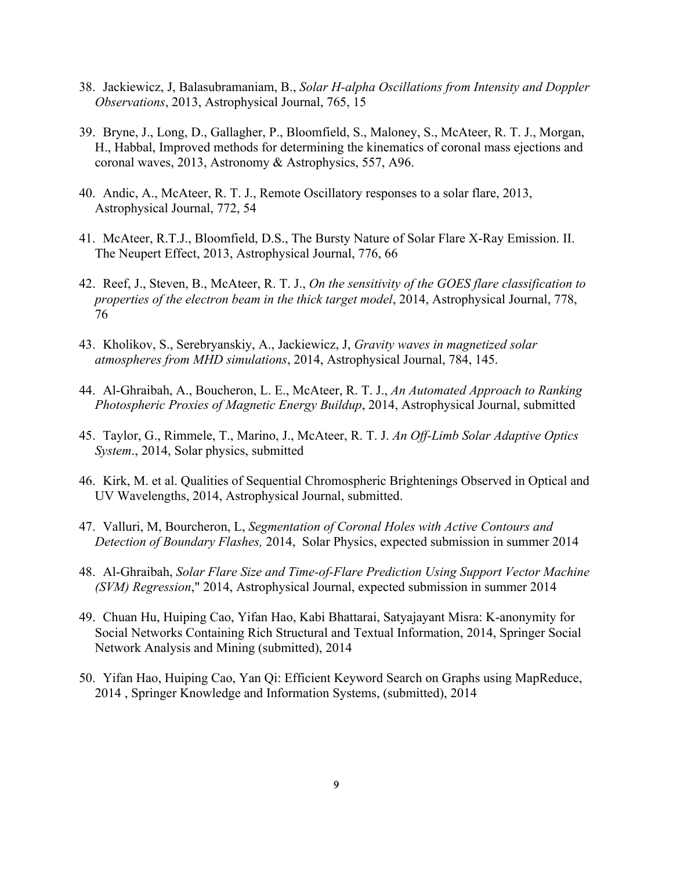- 38. Jackiewicz, J, Balasubramaniam, B., *Solar H-alpha Oscillations from Intensity and Doppler Observations*, 2013, Astrophysical Journal, 765, 15
- 39. Bryne, J., Long, D., Gallagher, P., Bloomfield, S., Maloney, S., McAteer, R. T. J., Morgan, H., Habbal, Improved methods for determining the kinematics of coronal mass ejections and coronal waves, 2013, Astronomy & Astrophysics, 557, A96.
- 40. Andic, A., McAteer, R. T. J., Remote Oscillatory responses to a solar flare, 2013, Astrophysical Journal, 772, 54
- 41. McAteer, R.T.J., Bloomfield, D.S., The Bursty Nature of Solar Flare X-Ray Emission. II. The Neupert Effect, 2013, Astrophysical Journal, 776, 66
- 42. Reef, J., Steven, B., McAteer, R. T. J., *On the sensitivity of the GOES flare classification to properties of the electron beam in the thick target model*, 2014, Astrophysical Journal, 778, 76
- 43. Kholikov, S., Serebryanskiy, A., Jackiewicz, J, *Gravity waves in magnetized solar atmospheres from MHD simulations*, 2014, Astrophysical Journal, 784, 145.
- 44. Al-Ghraibah, A., Boucheron, L. E., McAteer, R. T. J., *An Automated Approach to Ranking Photospheric Proxies of Magnetic Energy Buildup*, 2014, Astrophysical Journal, submitted
- 45. Taylor, G., Rimmele, T., Marino, J., McAteer, R. T. J. *An Off-Limb Solar Adaptive Optics System*., 2014, Solar physics, submitted
- 46. Kirk, M. et al. Qualities of Sequential Chromospheric Brightenings Observed in Optical and UV Wavelengths, 2014, Astrophysical Journal, submitted.
- 47. Valluri, M, Bourcheron, L, *Segmentation of Coronal Holes with Active Contours and Detection of Boundary Flashes,* 2014, Solar Physics, expected submission in summer 2014
- 48. Al-Ghraibah, *Solar Flare Size and Time-of-Flare Prediction Using Support Vector Machine (SVM) Regression*," 2014, Astrophysical Journal, expected submission in summer 2014
- 49. Chuan Hu, Huiping Cao, Yifan Hao, Kabi Bhattarai, Satyajayant Misra: K-anonymity for Social Networks Containing Rich Structural and Textual Information, 2014, Springer Social Network Analysis and Mining (submitted), 2014
- 50. Yifan Hao, Huiping Cao, Yan Qi: Efficient Keyword Search on Graphs using MapReduce, 2014 , Springer Knowledge and Information Systems, (submitted), 2014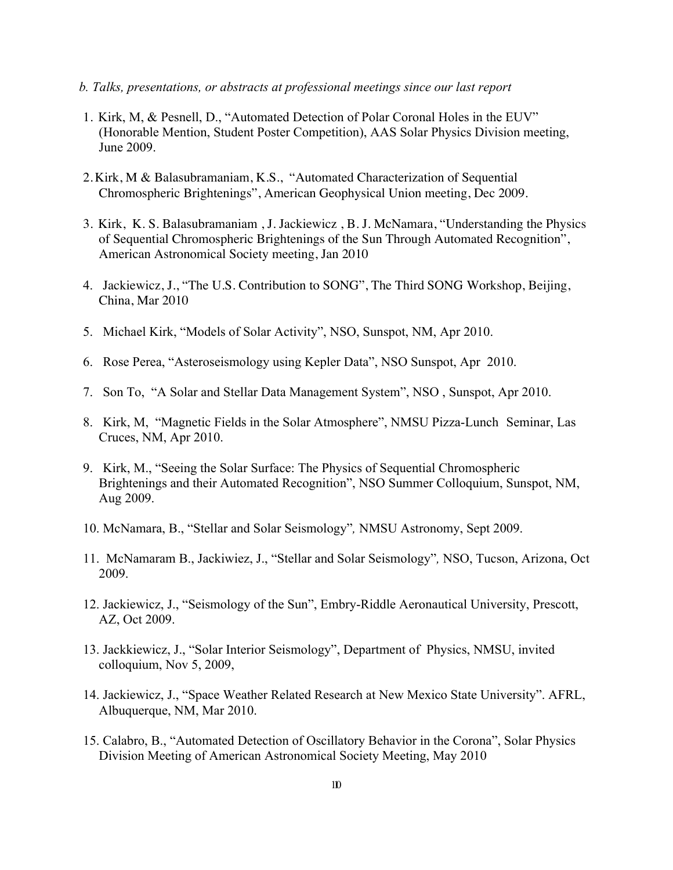- *b. Talks, presentations, or abstracts at professional meetings since our last report*
- 1. Kirk, M, & Pesnell, D., "Automated Detection of Polar Coronal Holes in the EUV" (Honorable Mention, Student Poster Competition), AAS Solar Physics Division meeting, June 2009.
- 2. Kirk, M & Balasubramaniam, K.S., "Automated Characterization of Sequential Chromospheric Brightenings", American Geophysical Union meeting, Dec 2009.
- 3. Kirk, K. S. Balasubramaniam , J. Jackiewicz , B. J. McNamara, "Understanding the Physics of Sequential Chromospheric Brightenings of the Sun Through Automated Recognition", American Astronomical Society meeting, Jan 2010
- 4. Jackiewicz, J., "The U.S. Contribution to SONG", The Third SONG Workshop, Beijing, China, Mar 2010
- 5. Michael Kirk, "Models of Solar Activity", NSO, Sunspot, NM, Apr 2010.
- 6. Rose Perea, "Asteroseismology using Kepler Data", NSO Sunspot, Apr 2010.
- 7. Son To, "A Solar and Stellar Data Management System", NSO , Sunspot, Apr 2010.
- 8. Kirk, M, "Magnetic Fields in the Solar Atmosphere", NMSU Pizza-Lunch Seminar, Las Cruces, NM, Apr 2010.
- 9. Kirk, M., "Seeing the Solar Surface: The Physics of Sequential Chromospheric Brightenings and their Automated Recognition", NSO Summer Colloquium, Sunspot, NM, Aug 2009.
- 10. McNamara, B., "Stellar and Solar Seismology"*,* NMSU Astronomy, Sept 2009.
- 11. McNamaram B., Jackiwiez, J., "Stellar and Solar Seismology"*,* NSO, Tucson, Arizona, Oct 2009.
- 12. Jackiewicz, J., "Seismology of the Sun", Embry-Riddle Aeronautical University, Prescott, AZ, Oct 2009.
- 13. Jackkiewicz, J., "Solar Interior Seismology", Department of Physics, NMSU, invited colloquium, Nov 5, 2009,
- 14. Jackiewicz, J., "Space Weather Related Research at New Mexico State University". AFRL, Albuquerque, NM, Mar 2010.
- 15. Calabro, B., "Automated Detection of Oscillatory Behavior in the Corona", Solar Physics Division Meeting of American Astronomical Society Meeting, May 2010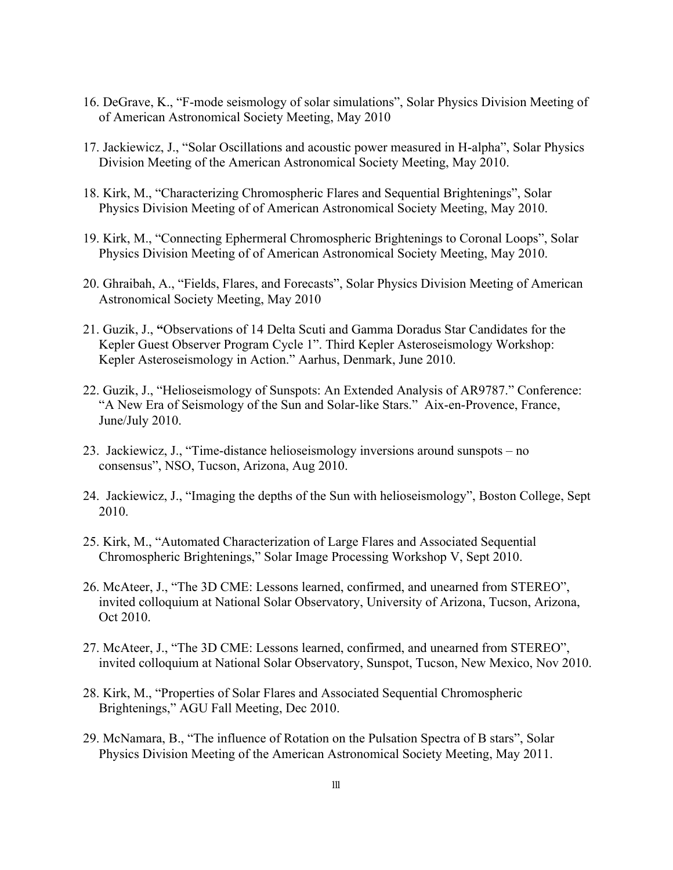- 16. DeGrave, K., "F-mode seismology of solar simulations", Solar Physics Division Meeting of of American Astronomical Society Meeting, May 2010
- 17. Jackiewicz, J., "Solar Oscillations and acoustic power measured in H-alpha", Solar Physics Division Meeting of the American Astronomical Society Meeting, May 2010.
- 18. Kirk, M., "Characterizing Chromospheric Flares and Sequential Brightenings", Solar Physics Division Meeting of of American Astronomical Society Meeting, May 2010.
- 19. Kirk, M., "Connecting Ephermeral Chromospheric Brightenings to Coronal Loops", Solar Physics Division Meeting of of American Astronomical Society Meeting, May 2010.
- 20. Ghraibah, A., "Fields, Flares, and Forecasts", Solar Physics Division Meeting of American Astronomical Society Meeting, May 2010
- 21. Guzik, J., **"**Observations of 14 Delta Scuti and Gamma Doradus Star Candidates for the Kepler Guest Observer Program Cycle 1". Third Kepler Asteroseismology Workshop: Kepler Asteroseismology in Action." Aarhus, Denmark, June 2010.
- 22. Guzik, J., "Helioseismology of Sunspots: An Extended Analysis of AR9787." Conference: "A New Era of Seismology of the Sun and Solar-like Stars." Aix-en-Provence, France, June/July 2010.
- 23. Jackiewicz, J., "Time-distance helioseismology inversions around sunspots no consensus", NSO, Tucson, Arizona, Aug 2010.
- 24. Jackiewicz, J., "Imaging the depths of the Sun with helioseismology", Boston College, Sept 2010.
- 25. Kirk, M., "Automated Characterization of Large Flares and Associated Sequential Chromospheric Brightenings," Solar Image Processing Workshop V, Sept 2010.
- 26. McAteer, J., "The 3D CME: Lessons learned, confirmed, and unearned from STEREO", invited colloquium at National Solar Observatory, University of Arizona, Tucson, Arizona, Oct 2010.
- 27. McAteer, J., "The 3D CME: Lessons learned, confirmed, and unearned from STEREO", invited colloquium at National Solar Observatory, Sunspot, Tucson, New Mexico, Nov 2010.
- 28. Kirk, M., "Properties of Solar Flares and Associated Sequential Chromospheric Brightenings," AGU Fall Meeting, Dec 2010.
- 29. McNamara, B., "The influence of Rotation on the Pulsation Spectra of B stars", Solar Physics Division Meeting of the American Astronomical Society Meeting, May 2011.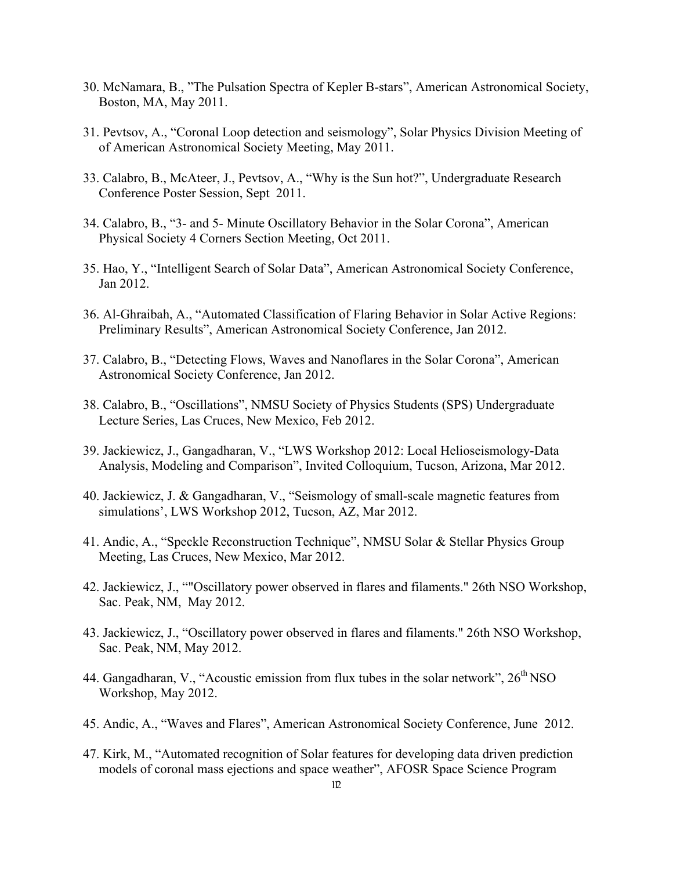- 30. McNamara, B., "The Pulsation Spectra of Kepler B-stars", American Astronomical Society, Boston, MA, May 2011.
- 31. Pevtsov, A., "Coronal Loop detection and seismology", Solar Physics Division Meeting of of American Astronomical Society Meeting, May 2011.
- 33. Calabro, B., McAteer, J., Pevtsov, A., "Why is the Sun hot?", Undergraduate Research Conference Poster Session, Sept 2011.
- 34. Calabro, B., "3- and 5- Minute Oscillatory Behavior in the Solar Corona", American Physical Society 4 Corners Section Meeting, Oct 2011.
- 35. Hao, Y., "Intelligent Search of Solar Data", American Astronomical Society Conference, Jan 2012.
- 36. Al-Ghraibah, A., "Automated Classification of Flaring Behavior in Solar Active Regions: Preliminary Results", American Astronomical Society Conference, Jan 2012.
- 37. Calabro, B., "Detecting Flows, Waves and Nanoflares in the Solar Corona", American Astronomical Society Conference, Jan 2012.
- 38. Calabro, B., "Oscillations", NMSU Society of Physics Students (SPS) Undergraduate Lecture Series, Las Cruces, New Mexico, Feb 2012.
- 39. Jackiewicz, J., Gangadharan, V., "LWS Workshop 2012: Local Helioseismology-Data Analysis, Modeling and Comparison", Invited Colloquium, Tucson, Arizona, Mar 2012.
- 40. Jackiewicz, J. & Gangadharan, V., "Seismology of small-scale magnetic features from simulations', LWS Workshop 2012, Tucson, AZ, Mar 2012.
- 41. Andic, A., "Speckle Reconstruction Technique", NMSU Solar & Stellar Physics Group Meeting, Las Cruces, New Mexico, Mar 2012.
- 42. Jackiewicz, J., ""Oscillatory power observed in flares and filaments." 26th NSO Workshop, Sac. Peak, NM, May 2012.
- 43. Jackiewicz, J., "Oscillatory power observed in flares and filaments." 26th NSO Workshop, Sac. Peak, NM, May 2012.
- 44. Gangadharan, V., "Acoustic emission from flux tubes in the solar network",  $26<sup>th</sup> NSO$ Workshop, May 2012.
- 45. Andic, A., "Waves and Flares", American Astronomical Society Conference, June 2012.
- 47. Kirk, M., "Automated recognition of Solar features for developing data driven prediction models of coronal mass ejections and space weather", AFOSR Space Science Program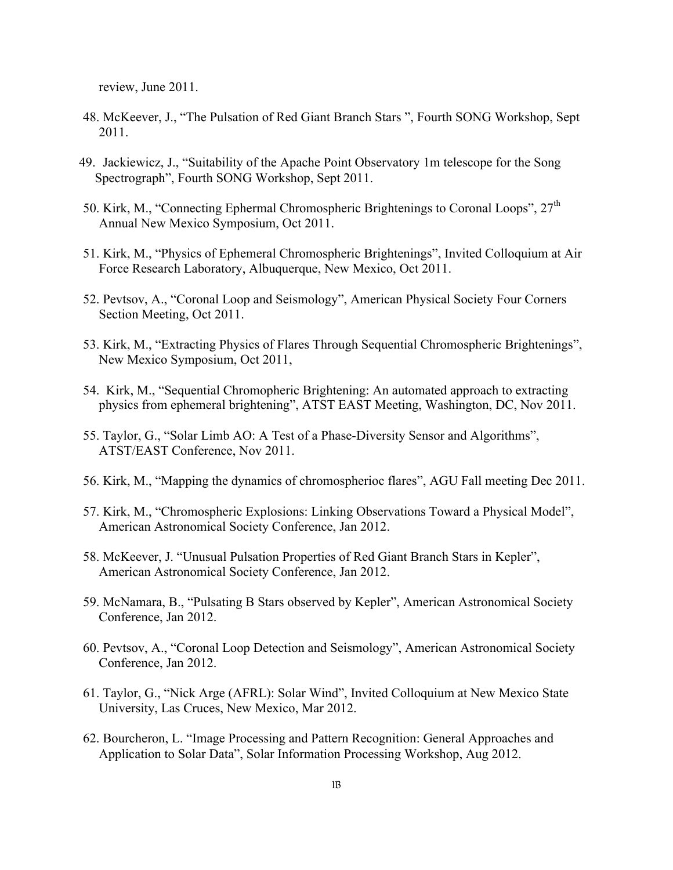review, June 2011.

- 48. McKeever, J., "The Pulsation of Red Giant Branch Stars ", Fourth SONG Workshop, Sept 2011.
- 49. Jackiewicz, J., "Suitability of the Apache Point Observatory 1m telescope for the Song Spectrograph", Fourth SONG Workshop, Sept 2011.
- 50. Kirk, M., "Connecting Ephermal Chromospheric Brightenings to Coronal Loops",  $27<sup>th</sup>$ Annual New Mexico Symposium, Oct 2011.
- 51. Kirk, M., "Physics of Ephemeral Chromospheric Brightenings", Invited Colloquium at Air Force Research Laboratory, Albuquerque, New Mexico, Oct 2011.
- 52. Pevtsov, A., "Coronal Loop and Seismology", American Physical Society Four Corners Section Meeting, Oct 2011.
- 53. Kirk, M., "Extracting Physics of Flares Through Sequential Chromospheric Brightenings", New Mexico Symposium, Oct 2011,
- 54. Kirk, M., "Sequential Chromopheric Brightening: An automated approach to extracting physics from ephemeral brightening", ATST EAST Meeting, Washington, DC, Nov 2011.
- 55. Taylor, G., "Solar Limb AO: A Test of a Phase-Diversity Sensor and Algorithms", ATST/EAST Conference, Nov 2011.
- 56. Kirk, M., "Mapping the dynamics of chromospherioc flares", AGU Fall meeting Dec 2011.
- 57. Kirk, M., "Chromospheric Explosions: Linking Observations Toward a Physical Model", American Astronomical Society Conference, Jan 2012.
- 58. McKeever, J. "Unusual Pulsation Properties of Red Giant Branch Stars in Kepler", American Astronomical Society Conference, Jan 2012.
- 59. McNamara, B., "Pulsating B Stars observed by Kepler", American Astronomical Society Conference, Jan 2012.
- 60. Pevtsov, A., "Coronal Loop Detection and Seismology", American Astronomical Society Conference, Jan 2012.
- 61. Taylor, G., "Nick Arge (AFRL): Solar Wind", Invited Colloquium at New Mexico State University, Las Cruces, New Mexico, Mar 2012.
- 62. Bourcheron, L. "Image Processing and Pattern Recognition: General Approaches and Application to Solar Data", Solar Information Processing Workshop, Aug 2012.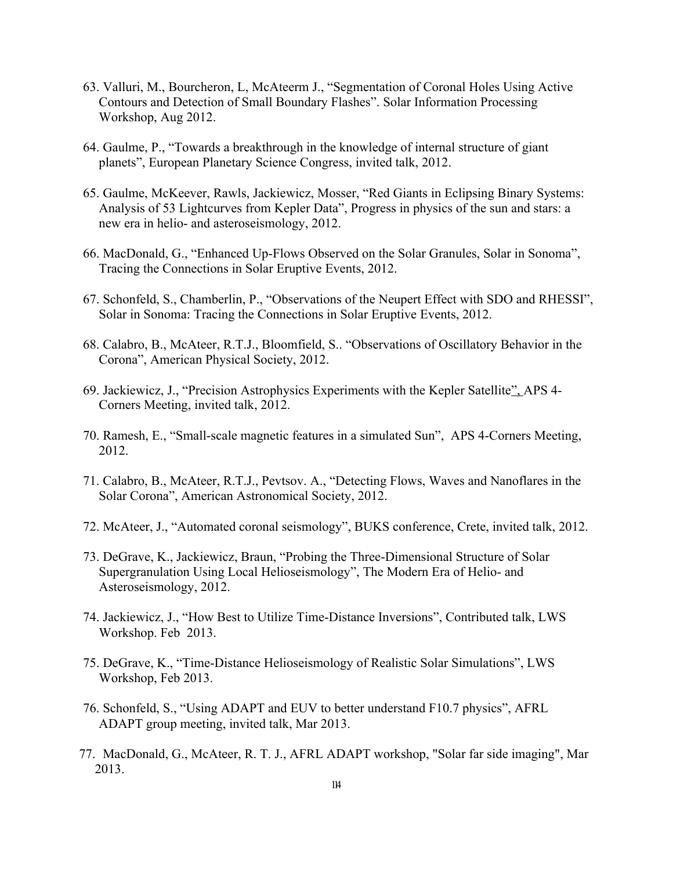- 63. Valluri, M., Bourcheron, L, McAteerm J., "Segmentation of Coronal Holes Using Active Contours and Detection of Small Boundary Flashes". Solar Information Processing Workshop, Aug 2012.
- 64. Gaulme, P., "Towards a breakthrough in the knowledge of internal structure of giant planets", European Planetary Science Congress, invited talk, 2012.
- 65. Gaulme, McKeever, Rawls, Jackiewicz, Mosser, "Red Giants in Eclipsing Binary Systems: Analysis of 53 Lightcurves from Kepler Data", Progress in physics of the sun and stars: a new era in helio- and asteroseismology, 2012.
- 66. MacDonald, G., "Enhanced Up-Flows Observed on the Solar Granules, Solar in Sonoma", Tracing the Connections in Solar Eruptive Events, 2012.
- 67. Schonfeld, S., Chamberlin, P., "Observations of the Neupert Effect with SDO and RHESSI", Solar in Sonoma: Tracing the Connections in Solar Eruptive Events, 2012.
- 68. Calabro, B., McAteer, R.T.J., Bloomfield, S.. "Observations of Oscillatory Behavior in the Corona", American Physical Society, 2012.
- 69. Jackiewicz, J., "Precision Astrophysics Experiments with the Kepler Satellite", APS 4- Corners Meeting, invited talk, 2012.
- 70. Ramesh, E., "Small-scale magnetic features in a simulated Sun", APS 4-Corners Meeting, 2012.
- 71. Calabro, B., McAteer, R.T.J., Pevtsov. A., "Detecting Flows, Waves and Nanoflares in the Solar Corona", American Astronomical Society, 2012.
- 72. McAteer, J., "Automated coronal seismology", BUKS conference, Crete, invited talk, 2012.
- 73. DeGrave, K., Jackiewicz, Braun, "Probing the Three-Dimensional Structure of Solar Supergranulation Using Local Helioseismology", The Modern Era of Helio- and Asteroseismology, 2012.
- 74. Jackiewicz, J., "How Best to Utilize Time-Distance Inversions", Contributed talk, LWS Workshop. Feb 2013.
- 75. DeGrave, K., "Time-Distance Helioseismology of Realistic Solar Simulations", LWS Workshop, Feb 2013.
- 76. Schonfeld, S., "Using ADAPT and EUV to better understand F10.7 physics", AFRL ADAPT group meeting, invited talk, Mar 2013.
- 77. MacDonald, G., McAteer, R. T. J., AFRL ADAPT workshop, "Solar far side imaging", Mar 2013.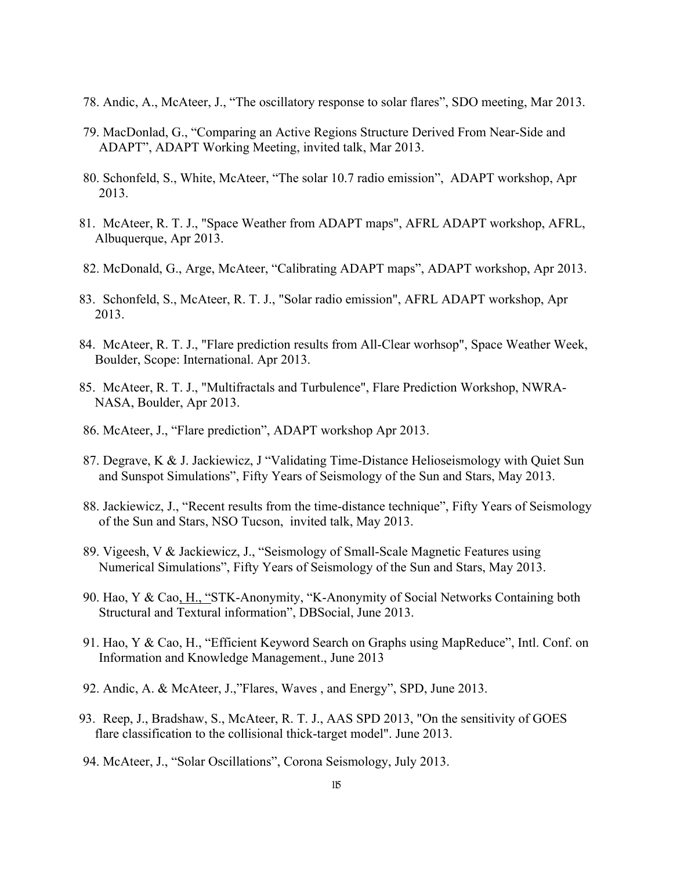- 78. Andic, A., McAteer, J., "The oscillatory response to solar flares", SDO meeting, Mar 2013.
- 79. MacDonlad, G., "Comparing an Active Regions Structure Derived From Near-Side and ADAPT", ADAPT Working Meeting, invited talk, Mar 2013.
- 80. Schonfeld, S., White, McAteer, "The solar 10.7 radio emission", ADAPT workshop, Apr 2013.
- 81. McAteer, R. T. J., "Space Weather from ADAPT maps", AFRL ADAPT workshop, AFRL, Albuquerque, Apr 2013.
- 82. McDonald, G., Arge, McAteer, "Calibrating ADAPT maps", ADAPT workshop, Apr 2013.
- 83. Schonfeld, S., McAteer, R. T. J., "Solar radio emission", AFRL ADAPT workshop, Apr 2013.
- 84. McAteer, R. T. J., "Flare prediction results from All-Clear worhsop", Space Weather Week, Boulder, Scope: International. Apr 2013.
- 85. McAteer, R. T. J., "Multifractals and Turbulence", Flare Prediction Workshop, NWRA-NASA, Boulder, Apr 2013.
- 86. McAteer, J., "Flare prediction", ADAPT workshop Apr 2013.
- 87. Degrave, K & J. Jackiewicz, J "Validating Time-Distance Helioseismology with Quiet Sun and Sunspot Simulations", Fifty Years of Seismology of the Sun and Stars, May 2013.
- 88. Jackiewicz, J., "Recent results from the time-distance technique", Fifty Years of Seismology of the Sun and Stars, NSO Tucson, invited talk, May 2013.
- 89. Vigeesh, V & Jackiewicz, J., "Seismology of Small-Scale Magnetic Features using Numerical Simulations", Fifty Years of Seismology of the Sun and Stars, May 2013.
- 90. Hao, Y & Cao, H., "STK-Anonymity, "K-Anonymity of Social Networks Containing both Structural and Textural information", DBSocial, June 2013.
- 91. Hao, Y & Cao, H., "Efficient Keyword Search on Graphs using MapReduce", Intl. Conf. on Information and Knowledge Management., June 2013
- 92. Andic, A. & McAteer, J.,"Flares, Waves , and Energy", SPD, June 2013.
- 93. Reep, J., Bradshaw, S., McAteer, R. T. J., AAS SPD 2013, "On the sensitivity of GOES flare classification to the collisional thick-target model". June 2013.
- 94. McAteer, J., "Solar Oscillations", Corona Seismology, July 2013.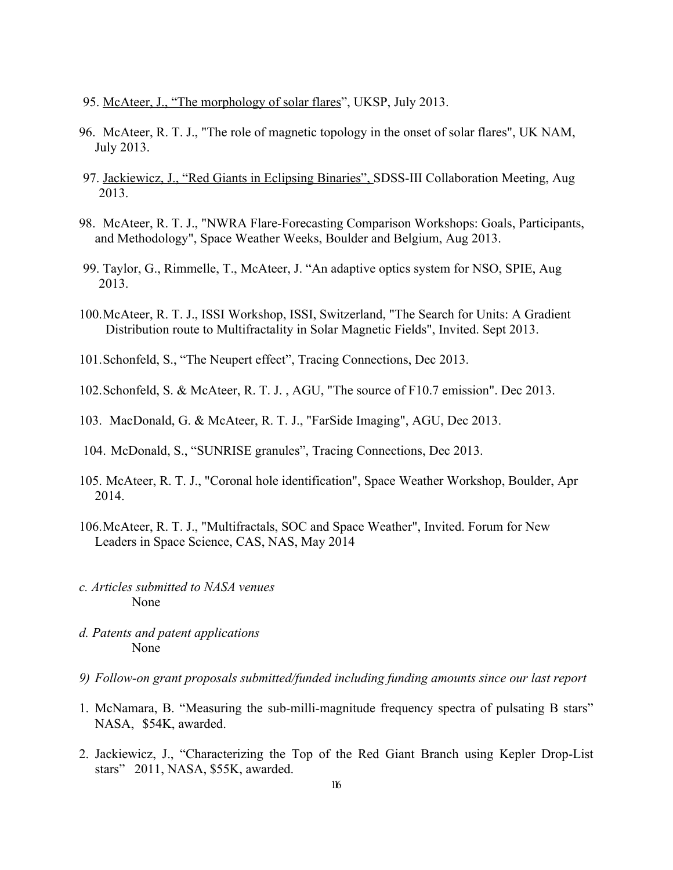- 95. McAteer, J., "The morphology of solar flares", UKSP, July 2013.
- 96. McAteer, R. T. J., "The role of magnetic topology in the onset of solar flares", UK NAM, July 2013.
- 97. Jackiewicz, J., "Red Giants in Eclipsing Binaries", SDSS-III Collaboration Meeting, Aug 2013.
- 98. McAteer, R. T. J., "NWRA Flare-Forecasting Comparison Workshops: Goals, Participants, and Methodology", Space Weather Weeks, Boulder and Belgium, Aug 2013.
- 99. Taylor, G., Rimmelle, T., McAteer, J. "An adaptive optics system for NSO, SPIE, Aug 2013.
- 100.McAteer, R. T. J., ISSI Workshop, ISSI, Switzerland, "The Search for Units: A Gradient Distribution route to Multifractality in Solar Magnetic Fields", Invited. Sept 2013.
- 101.Schonfeld, S., "The Neupert effect", Tracing Connections, Dec 2013.
- 102.Schonfeld, S. & McAteer, R. T. J. , AGU, "The source of F10.7 emission". Dec 2013.
- 103. MacDonald, G. & McAteer, R. T. J., "FarSide Imaging", AGU, Dec 2013.
- 104. McDonald, S., "SUNRISE granules", Tracing Connections, Dec 2013.
- 105. McAteer, R. T. J., "Coronal hole identification", Space Weather Workshop, Boulder, Apr 2014.
- 106.McAteer, R. T. J., "Multifractals, SOC and Space Weather", Invited. Forum for New Leaders in Space Science, CAS, NAS, May 2014
- *c. Articles submitted to NASA venues* None
- *d. Patents and patent applications* None
- *9) Follow-on grant proposals submitted/funded including funding amounts since our last report*
- 1. McNamara, B. "Measuring the sub-milli-magnitude frequency spectra of pulsating B stars" NASA, \$54K, awarded.
- 2. Jackiewicz, J., "Characterizing the Top of the Red Giant Branch using Kepler Drop-List stars" 2011, NASA, \$55K, awarded.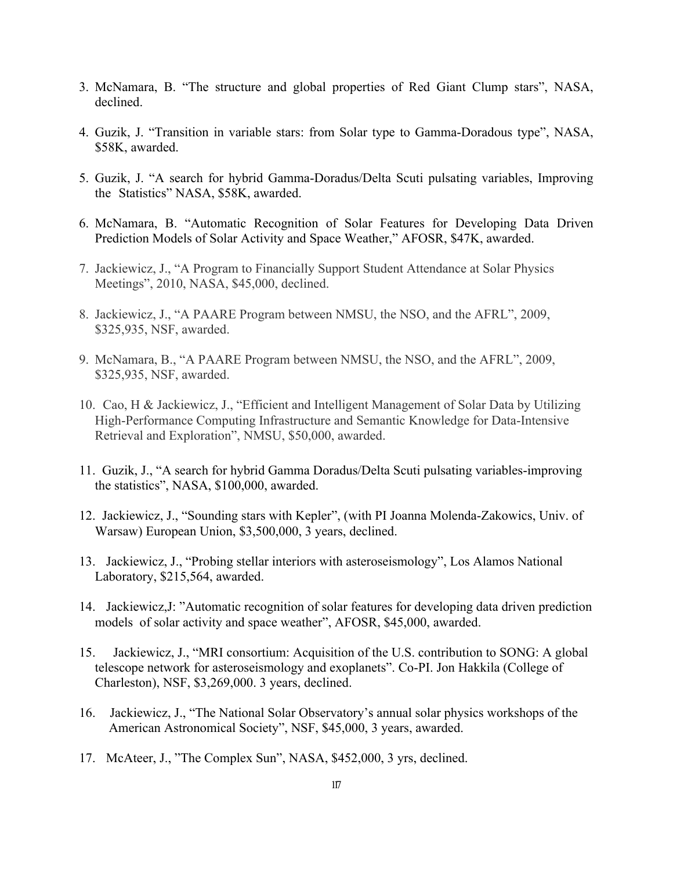- 3. McNamara, B. "The structure and global properties of Red Giant Clump stars", NASA, declined.
- 4. Guzik, J. "Transition in variable stars: from Solar type to Gamma-Doradous type", NASA, \$58K, awarded.
- 5. Guzik, J. "A search for hybrid Gamma-Doradus/Delta Scuti pulsating variables, Improving the Statistics" NASA, \$58K, awarded.
- 6. McNamara, B. "Automatic Recognition of Solar Features for Developing Data Driven Prediction Models of Solar Activity and Space Weather," AFOSR, \$47K, awarded.
- 7. Jackiewicz, J., "A Program to Financially Support Student Attendance at Solar Physics Meetings", 2010, NASA, \$45,000, declined.
- 8. Jackiewicz, J., "A PAARE Program between NMSU, the NSO, and the AFRL", 2009, \$325,935, NSF, awarded.
- 9. McNamara, B., "A PAARE Program between NMSU, the NSO, and the AFRL", 2009, \$325,935, NSF, awarded.
- 10. Cao, H & Jackiewicz, J., "Efficient and Intelligent Management of Solar Data by Utilizing High-Performance Computing Infrastructure and Semantic Knowledge for Data-Intensive Retrieval and Exploration", NMSU, \$50,000, awarded.
- 11. Guzik, J., "A search for hybrid Gamma Doradus/Delta Scuti pulsating variables-improving the statistics", NASA, \$100,000, awarded.
- 12. Jackiewicz, J., "Sounding stars with Kepler", (with PI Joanna Molenda-Zakowics, Univ. of Warsaw) European Union, \$3,500,000, 3 years, declined.
- 13. Jackiewicz, J., "Probing stellar interiors with asteroseismology", Los Alamos National Laboratory, \$215,564, awarded.
- 14. Jackiewicz,J: "Automatic recognition of solar features for developing data driven prediction models of solar activity and space weather", AFOSR, \$45,000, awarded.
- 15. Jackiewicz, J., "MRI consortium: Acquisition of the U.S. contribution to SONG: A global telescope network for asteroseismology and exoplanets". Co-PI. Jon Hakkila (College of Charleston), NSF, \$3,269,000. 3 years, declined.
- 16. Jackiewicz, J., "The National Solar Observatory's annual solar physics workshops of the American Astronomical Society", NSF, \$45,000, 3 years, awarded.
- 17. McAteer, J., "The Complex Sun", NASA, \$452,000, 3 yrs, declined.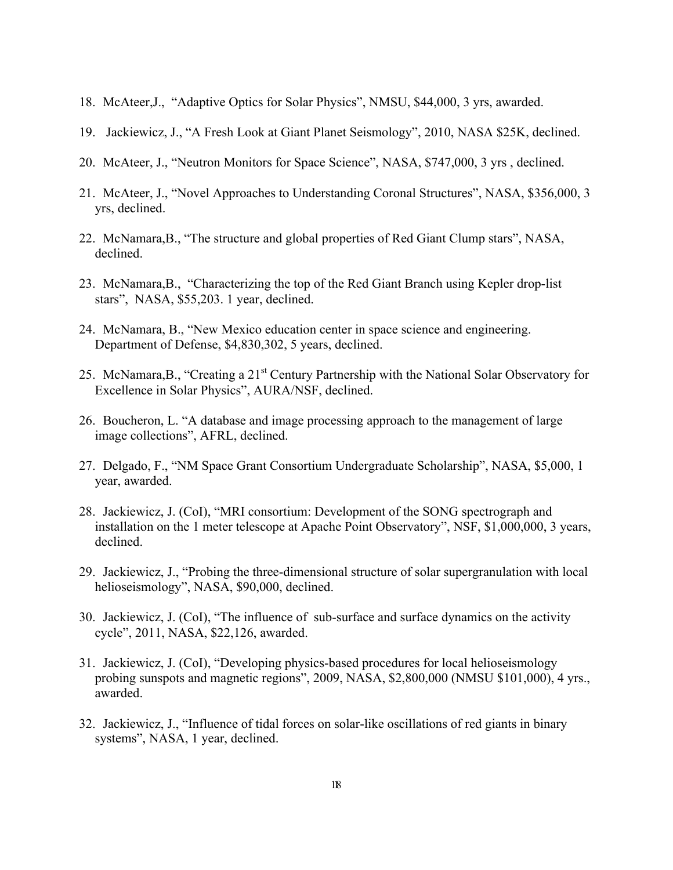- 18. McAteer,J., "Adaptive Optics for Solar Physics", NMSU, \$44,000, 3 yrs, awarded.
- 19. Jackiewicz, J., "A Fresh Look at Giant Planet Seismology", 2010, NASA \$25K, declined.
- 20. McAteer, J., "Neutron Monitors for Space Science", NASA, \$747,000, 3 yrs , declined.
- 21. McAteer, J., "Novel Approaches to Understanding Coronal Structures", NASA, \$356,000, 3 yrs, declined.
- 22. McNamara,B., "The structure and global properties of Red Giant Clump stars", NASA, declined.
- 23. McNamara,B., "Characterizing the top of the Red Giant Branch using Kepler drop-list stars", NASA, \$55,203. 1 year, declined.
- 24. McNamara, B., "New Mexico education center in space science and engineering. Department of Defense, \$4,830,302, 5 years, declined.
- 25. McNamara, B., "Creating a 21<sup>st</sup> Century Partnership with the National Solar Observatory for Excellence in Solar Physics", AURA/NSF, declined.
- 26. Boucheron, L. "A database and image processing approach to the management of large image collections", AFRL, declined.
- 27. Delgado, F., "NM Space Grant Consortium Undergraduate Scholarship", NASA, \$5,000, 1 year, awarded.
- 28. Jackiewicz, J. (CoI), "MRI consortium: Development of the SONG spectrograph and installation on the 1 meter telescope at Apache Point Observatory", NSF, \$1,000,000, 3 years, declined.
- 29. Jackiewicz, J., "Probing the three-dimensional structure of solar supergranulation with local helioseismology", NASA, \$90,000, declined.
- 30. Jackiewicz, J. (CoI), "The influence of sub-surface and surface dynamics on the activity cycle", 2011, NASA, \$22,126, awarded.
- 31. Jackiewicz, J. (CoI), "Developing physics-based procedures for local helioseismology probing sunspots and magnetic regions", 2009, NASA, \$2,800,000 (NMSU \$101,000), 4 yrs., awarded.
- 32. Jackiewicz, J., "Influence of tidal forces on solar-like oscillations of red giants in binary systems", NASA, 1 year, declined.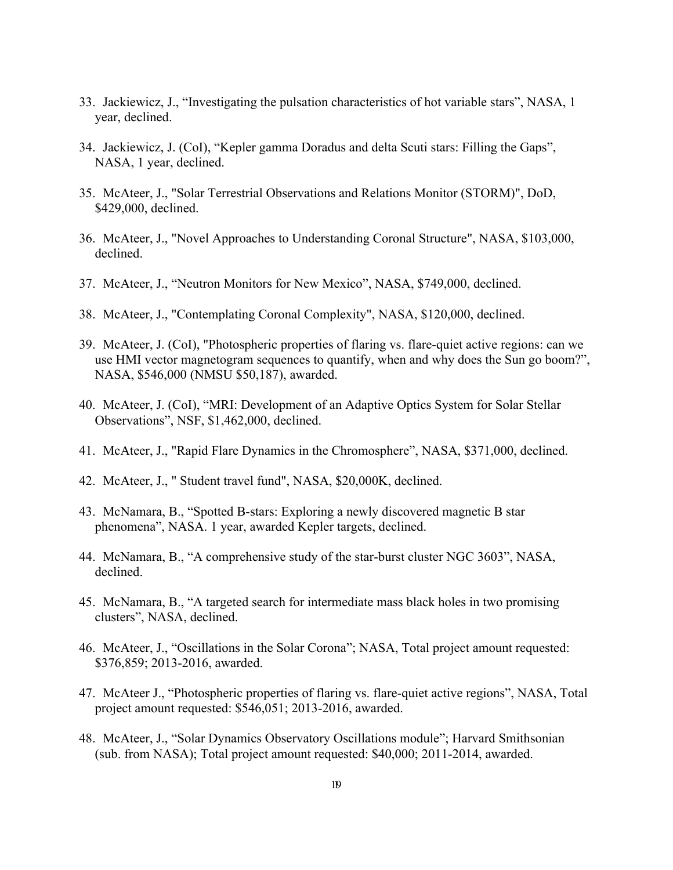- 33. Jackiewicz, J., "Investigating the pulsation characteristics of hot variable stars", NASA, 1 year, declined.
- 34. Jackiewicz, J. (CoI), "Kepler gamma Doradus and delta Scuti stars: Filling the Gaps", NASA, 1 year, declined.
- 35. McAteer, J., "Solar Terrestrial Observations and Relations Monitor (STORM)", DoD, \$429,000, declined.
- 36. McAteer, J., "Novel Approaches to Understanding Coronal Structure", NASA, \$103,000, declined.
- 37. McAteer, J., "Neutron Monitors for New Mexico", NASA, \$749,000, declined.
- 38. McAteer, J., "Contemplating Coronal Complexity", NASA, \$120,000, declined.
- 39. McAteer, J. (CoI), "Photospheric properties of flaring vs. flare-quiet active regions: can we use HMI vector magnetogram sequences to quantify, when and why does the Sun go boom?", NASA, \$546,000 (NMSU \$50,187), awarded.
- 40. McAteer, J. (CoI), "MRI: Development of an Adaptive Optics System for Solar Stellar Observations", NSF, \$1,462,000, declined.
- 41. McAteer, J., "Rapid Flare Dynamics in the Chromosphere", NASA, \$371,000, declined.
- 42. McAteer, J., " Student travel fund", NASA, \$20,000K, declined.
- 43. McNamara, B., "Spotted B-stars: Exploring a newly discovered magnetic B star phenomena", NASA. 1 year, awarded Kepler targets, declined.
- 44. McNamara, B., "A comprehensive study of the star-burst cluster NGC 3603", NASA, declined.
- 45. McNamara, B., "A targeted search for intermediate mass black holes in two promising clusters", NASA, declined.
- 46. McAteer, J., "Oscillations in the Solar Corona"; NASA, Total project amount requested: \$376,859; 2013-2016, awarded.
- 47. McAteer J., "Photospheric properties of flaring vs. flare-quiet active regions", NASA, Total project amount requested: \$546,051; 2013-2016, awarded.
- 48. McAteer, J., "Solar Dynamics Observatory Oscillations module"; Harvard Smithsonian (sub. from NASA); Total project amount requested: \$40,000; 2011-2014, awarded.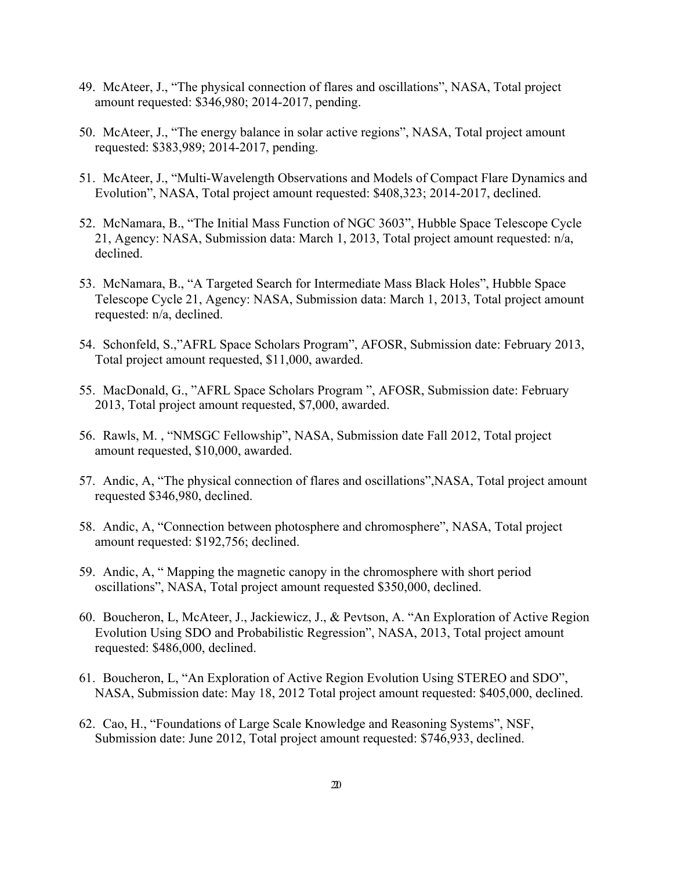- 49. McAteer, J., "The physical connection of flares and oscillations", NASA, Total project amount requested: \$346,980; 2014-2017, pending.
- 50. McAteer, J., "The energy balance in solar active regions", NASA, Total project amount requested: \$383,989; 2014-2017, pending.
- 51. McAteer, J., "Multi-Wavelength Observations and Models of Compact Flare Dynamics and Evolution", NASA, Total project amount requested: \$408,323; 2014-2017, declined.
- 52. McNamara, B., "The Initial Mass Function of NGC 3603", Hubble Space Telescope Cycle 21, Agency: NASA, Submission data: March 1, 2013, Total project amount requested: n/a, declined.
- 53. McNamara, B., "A Targeted Search for Intermediate Mass Black Holes", Hubble Space Telescope Cycle 21, Agency: NASA, Submission data: March 1, 2013, Total project amount requested: n/a, declined.
- 54. Schonfeld, S.,"AFRL Space Scholars Program", AFOSR, Submission date: February 2013, Total project amount requested, \$11,000, awarded.
- 55. MacDonald, G., "AFRL Space Scholars Program ", AFOSR, Submission date: February 2013, Total project amount requested, \$7,000, awarded.
- 56. Rawls, M. , "NMSGC Fellowship", NASA, Submission date Fall 2012, Total project amount requested, \$10,000, awarded.
- 57. Andic, A, "The physical connection of flares and oscillations",NASA, Total project amount requested \$346,980, declined.
- 58. Andic, A, "Connection between photosphere and chromosphere", NASA, Total project amount requested: \$192,756; declined.
- 59. Andic, A, " Mapping the magnetic canopy in the chromosphere with short period oscillations", NASA, Total project amount requested \$350,000, declined.
- 60. Boucheron, L, McAteer, J., Jackiewicz, J., & Pevtson, A. "An Exploration of Active Region Evolution Using SDO and Probabilistic Regression", NASA, 2013, Total project amount requested: \$486,000, declined.
- 61. Boucheron, L, "An Exploration of Active Region Evolution Using STEREO and SDO", NASA, Submission date: May 18, 2012 Total project amount requested: \$405,000, declined.
- 62. Cao, H., "Foundations of Large Scale Knowledge and Reasoning Systems", NSF, Submission date: June 2012, Total project amount requested: \$746,933, declined.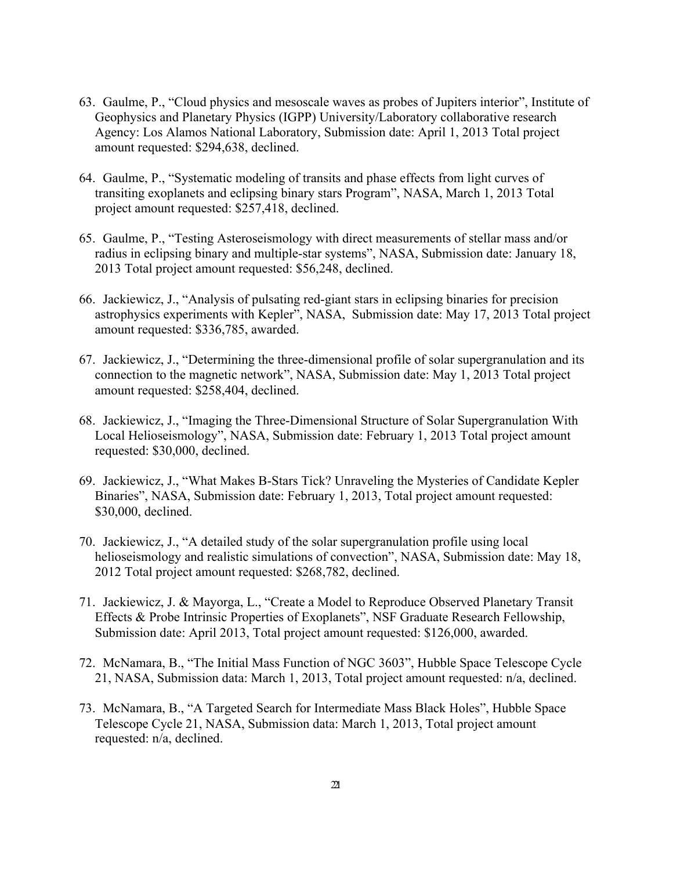- 63. Gaulme, P., "Cloud physics and mesoscale waves as probes of Jupiters interior", Institute of Geophysics and Planetary Physics (IGPP) University/Laboratory collaborative research Agency: Los Alamos National Laboratory, Submission date: April 1, 2013 Total project amount requested: \$294,638, declined.
- 64. Gaulme, P., "Systematic modeling of transits and phase effects from light curves of transiting exoplanets and eclipsing binary stars Program", NASA, March 1, 2013 Total project amount requested: \$257,418, declined.
- 65. Gaulme, P., "Testing Asteroseismology with direct measurements of stellar mass and/or radius in eclipsing binary and multiple-star systems", NASA, Submission date: January 18, 2013 Total project amount requested: \$56,248, declined.
- 66. Jackiewicz, J., "Analysis of pulsating red-giant stars in eclipsing binaries for precision astrophysics experiments with Kepler", NASA, Submission date: May 17, 2013 Total project amount requested: \$336,785, awarded.
- 67. Jackiewicz, J., "Determining the three-dimensional profile of solar supergranulation and its connection to the magnetic network", NASA, Submission date: May 1, 2013 Total project amount requested: \$258,404, declined.
- 68. Jackiewicz, J., "Imaging the Three-Dimensional Structure of Solar Supergranulation With Local Helioseismology", NASA, Submission date: February 1, 2013 Total project amount requested: \$30,000, declined.
- 69. Jackiewicz, J., "What Makes B-Stars Tick? Unraveling the Mysteries of Candidate Kepler Binaries", NASA, Submission date: February 1, 2013, Total project amount requested: \$30,000, declined.
- 70. Jackiewicz, J., "A detailed study of the solar supergranulation profile using local helioseismology and realistic simulations of convection", NASA, Submission date: May 18, 2012 Total project amount requested: \$268,782, declined.
- 71. Jackiewicz, J. & Mayorga, L., "Create a Model to Reproduce Observed Planetary Transit Effects & Probe Intrinsic Properties of Exoplanets", NSF Graduate Research Fellowship, Submission date: April 2013, Total project amount requested: \$126,000, awarded.
- 72. McNamara, B., "The Initial Mass Function of NGC 3603", Hubble Space Telescope Cycle 21, NASA, Submission data: March 1, 2013, Total project amount requested: n/a, declined.
- 73. McNamara, B., "A Targeted Search for Intermediate Mass Black Holes", Hubble Space Telescope Cycle 21, NASA, Submission data: March 1, 2013, Total project amount requested: n/a, declined.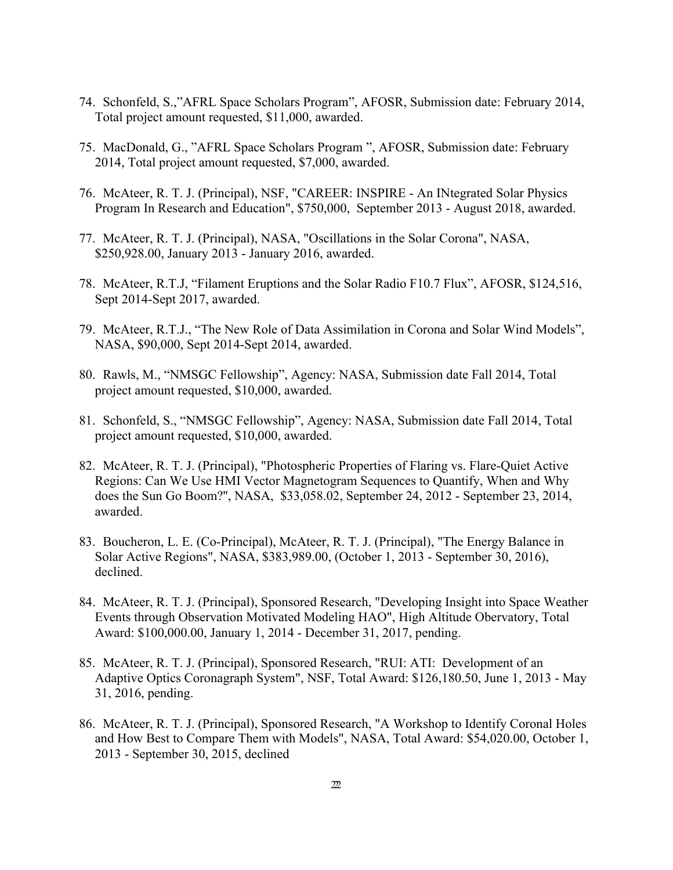- 74. Schonfeld, S.,"AFRL Space Scholars Program", AFOSR, Submission date: February 2014, Total project amount requested, \$11,000, awarded.
- 75. MacDonald, G., "AFRL Space Scholars Program ", AFOSR, Submission date: February 2014, Total project amount requested, \$7,000, awarded.
- 76. McAteer, R. T. J. (Principal), NSF, "CAREER: INSPIRE An INtegrated Solar Physics Program In Research and Education", \$750,000, September 2013 - August 2018, awarded.
- 77. McAteer, R. T. J. (Principal), NASA, "Oscillations in the Solar Corona", NASA, \$250,928.00, January 2013 - January 2016, awarded.
- 78. McAteer, R.T.J, "Filament Eruptions and the Solar Radio F10.7 Flux", AFOSR, \$124,516, Sept 2014-Sept 2017, awarded.
- 79. McAteer, R.T.J., "The New Role of Data Assimilation in Corona and Solar Wind Models", NASA, \$90,000, Sept 2014-Sept 2014, awarded.
- 80. Rawls, M., "NMSGC Fellowship", Agency: NASA, Submission date Fall 2014, Total project amount requested, \$10,000, awarded.
- 81. Schonfeld, S., "NMSGC Fellowship", Agency: NASA, Submission date Fall 2014, Total project amount requested, \$10,000, awarded.
- 82. McAteer, R. T. J. (Principal), "Photospheric Properties of Flaring vs. Flare-Quiet Active Regions: Can We Use HMI Vector Magnetogram Sequences to Quantify, When and Why does the Sun Go Boom?'', NASA, \$33,058.02, September 24, 2012 - September 23, 2014, awarded.
- 83. Boucheron, L. E. (Co-Principal), McAteer, R. T. J. (Principal), "The Energy Balance in Solar Active Regions", NASA, \$383,989.00, (October 1, 2013 - September 30, 2016), declined.
- 84. McAteer, R. T. J. (Principal), Sponsored Research, "Developing Insight into Space Weather Events through Observation Motivated Modeling HAO", High Altitude Obervatory, Total Award: \$100,000.00, January 1, 2014 - December 31, 2017, pending.
- 85. McAteer, R. T. J. (Principal), Sponsored Research, "RUI: ATI: Development of an Adaptive Optics Coronagraph System", NSF, Total Award: \$126,180.50, June 1, 2013 - May 31, 2016, pending.
- 86. McAteer, R. T. J. (Principal), Sponsored Research, "A Workshop to Identify Coronal Holes and How Best to Compare Them with Models", NASA, Total Award: \$54,020.00, October 1, 2013 - September 30, 2015, declined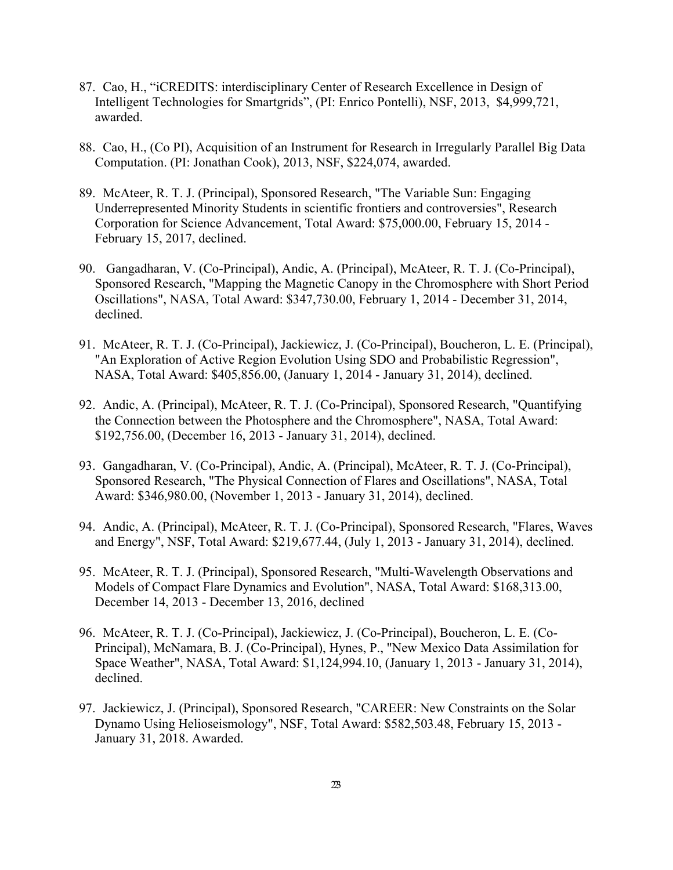- 87. Cao, H., "iCREDITS: interdisciplinary Center of Research Excellence in Design of Intelligent Technologies for Smartgrids", (PI: Enrico Pontelli), NSF, 2013, \$4,999,721, awarded.
- 88. Cao, H., (Co PI), Acquisition of an Instrument for Research in Irregularly Parallel Big Data Computation. (PI: Jonathan Cook), 2013, NSF, \$224,074, awarded.
- 89. McAteer, R. T. J. (Principal), Sponsored Research, "The Variable Sun: Engaging Underrepresented Minority Students in scientific frontiers and controversies", Research Corporation for Science Advancement, Total Award: \$75,000.00, February 15, 2014 - February 15, 2017, declined.
- 90. Gangadharan, V. (Co-Principal), Andic, A. (Principal), McAteer, R. T. J. (Co-Principal), Sponsored Research, "Mapping the Magnetic Canopy in the Chromosphere with Short Period Oscillations", NASA, Total Award: \$347,730.00, February 1, 2014 - December 31, 2014, declined.
- 91. McAteer, R. T. J. (Co-Principal), Jackiewicz, J. (Co-Principal), Boucheron, L. E. (Principal), "An Exploration of Active Region Evolution Using SDO and Probabilistic Regression", NASA, Total Award: \$405,856.00, (January 1, 2014 - January 31, 2014), declined.
- 92. Andic, A. (Principal), McAteer, R. T. J. (Co-Principal), Sponsored Research, "Quantifying the Connection between the Photosphere and the Chromosphere", NASA, Total Award: \$192,756.00, (December 16, 2013 - January 31, 2014), declined.
- 93. Gangadharan, V. (Co-Principal), Andic, A. (Principal), McAteer, R. T. J. (Co-Principal), Sponsored Research, "The Physical Connection of Flares and Oscillations", NASA, Total Award: \$346,980.00, (November 1, 2013 - January 31, 2014), declined.
- 94. Andic, A. (Principal), McAteer, R. T. J. (Co-Principal), Sponsored Research, "Flares, Waves and Energy", NSF, Total Award: \$219,677.44, (July 1, 2013 - January 31, 2014), declined.
- 95. McAteer, R. T. J. (Principal), Sponsored Research, "Multi-Wavelength Observations and Models of Compact Flare Dynamics and Evolution", NASA, Total Award: \$168,313.00, December 14, 2013 - December 13, 2016, declined
- 96. McAteer, R. T. J. (Co-Principal), Jackiewicz, J. (Co-Principal), Boucheron, L. E. (Co-Principal), McNamara, B. J. (Co-Principal), Hynes, P., "New Mexico Data Assimilation for Space Weather", NASA, Total Award: \$1,124,994.10, (January 1, 2013 - January 31, 2014), declined.
- 97. Jackiewicz, J. (Principal), Sponsored Research, "CAREER: New Constraints on the Solar Dynamo Using Helioseismology", NSF, Total Award: \$582,503.48, February 15, 2013 - January 31, 2018. Awarded.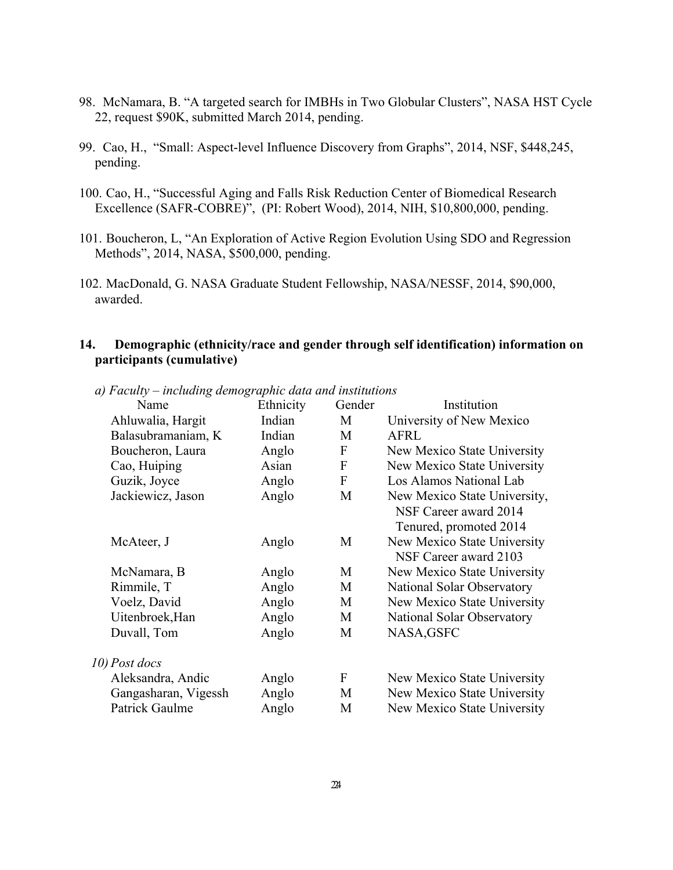- 98. McNamara, B. "A targeted search for IMBHs in Two Globular Clusters", NASA HST Cycle 22, request \$90K, submitted March 2014, pending.
- 99. Cao, H., "Small: Aspect-level Influence Discovery from Graphs", 2014, NSF, \$448,245, pending.
- 100. Cao, H., "Successful Aging and Falls Risk Reduction Center of Biomedical Research Excellence (SAFR-COBRE)", (PI: Robert Wood), 2014, NIH, \$10,800,000, pending.
- 101. Boucheron, L, "An Exploration of Active Region Evolution Using SDO and Regression Methods", 2014, NASA, \$500,000, pending.
- 102. MacDonald, G. NASA Graduate Student Fellowship, NASA/NESSF, 2014, \$90,000, awarded.

## **14. Demographic (ethnicity/race and gender through self identification) information on participants (cumulative)**

| Name                 | Ethnicity | Gender       | Institution                  |
|----------------------|-----------|--------------|------------------------------|
| Ahluwalia, Hargit    | Indian    | M            | University of New Mexico     |
| Balasubramaniam, K   | Indian    | M            | <b>AFRL</b>                  |
| Boucheron, Laura     | Anglo     | F            | New Mexico State University  |
| Cao, Huiping         | Asian     | F            | New Mexico State University  |
| Guzik, Joyce         | Anglo     | $\mathbf{F}$ | Los Alamos National Lab      |
| Jackiewicz, Jason    | Anglo     | M            | New Mexico State University, |
|                      |           |              | NSF Career award 2014        |
|                      |           |              | Tenured, promoted 2014       |
| McAteer, J           | Anglo     | M            | New Mexico State University  |
|                      |           |              | NSF Career award 2103        |
| McNamara, B          | Anglo     | M            | New Mexico State University  |
| Rimmile, T           | Anglo     | M            | National Solar Observatory   |
| Voelz, David         | Anglo     | M            | New Mexico State University  |
| Uitenbroek, Han      | Anglo     | M            | National Solar Observatory   |
| Duvall, Tom          | Anglo     | M            | NASA, GSFC                   |
| 10) Post docs        |           |              |                              |
| Aleksandra, Andic    | Anglo     | F            | New Mexico State University  |
| Gangasharan, Vigessh | Anglo     | M            | New Mexico State University  |
| Patrick Gaulme       | Anglo     | M            | New Mexico State University  |
|                      |           |              |                              |

*a) Faculty – including demographic data and institutions*